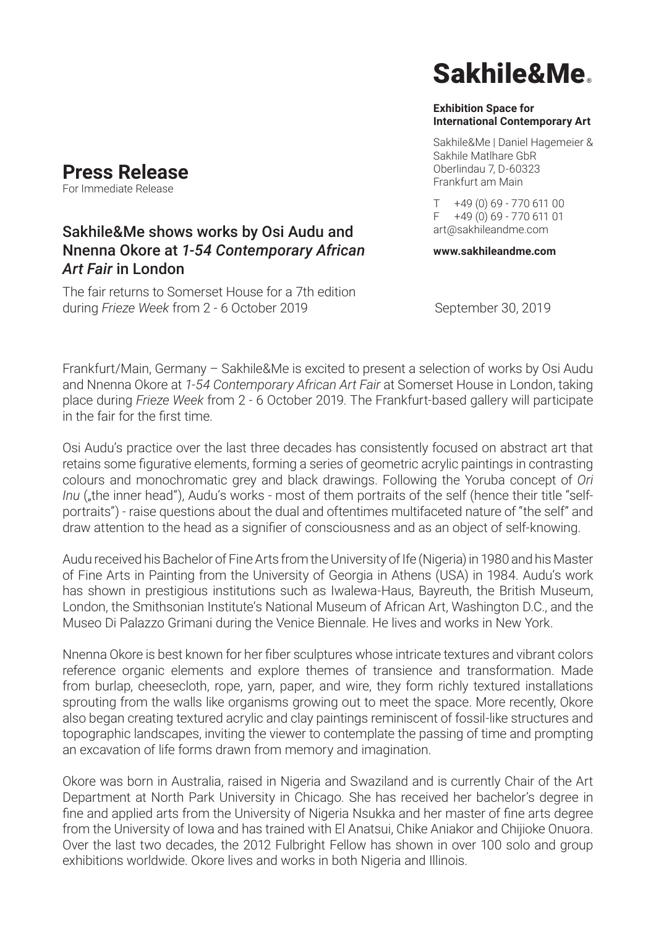## **Press Release**

For Immediate Release

### Sakhile&Me shows works by Osi Audu and Nnenna Okore at *1-54 Contemporary African Art Fair* in London

The fair returns to Somerset House for a 7th edition during *Frieze* Week from 2 - 6 October 2019 September 30, 2019

# Sakhile&Me

#### **Exhibition Space for International Contemporary Art**

Sakhile&Me | Daniel Hagemeier & Sakhile Matlhare GbR Oberlindau 7, D-60323 Frankfurt am Main

 $T + 49(0)69 - 77061100$  $F + 49(0)69 - 77061101$ art@sakhileandme.com

**www.sakhileandme.com**

Frankfurt/Main, Germany – Sakhile&Me is excited to present a selection of works by Osi Audu and Nnenna Okore at *1-54 Contemporary African Art Fair* at Somerset House in London, taking place during *Frieze Week* from 2 - 6 October 2019. The Frankfurt-based gallery will participate in the fair for the first time.

Osi Audu's practice over the last three decades has consistently focused on abstract art that retains some figurative elements, forming a series of geometric acrylic paintings in contrasting colours and monochromatic grey and black drawings. Following the Yoruba concept of *Ori Inu* ("the inner head"), Audu's works - most of them portraits of the self (hence their title "selfportraits") - raise questions about the dual and oftentimes multifaceted nature of "the self" and draw attention to the head as a signifier of consciousness and as an object of self-knowing.

Audu received his Bachelor of Fine Arts from the University of Ife (Nigeria) in 1980 and his Master of Fine Arts in Painting from the University of Georgia in Athens (USA) in 1984. Audu's work has shown in prestigious institutions such as Iwalewa-Haus, Bayreuth, the British Museum, London, the Smithsonian Institute's National Museum of African Art, Washington D.C., and the Museo Di Palazzo Grimani during the Venice Biennale. He lives and works in New York.

Nnenna Okore is best known for her fiber sculptures whose intricate textures and vibrant colors reference organic elements and explore themes of transience and transformation. Made from burlap, cheesecloth, rope, yarn, paper, and wire, they form richly textured installations sprouting from the walls like organisms growing out to meet the space. More recently, Okore also began creating textured acrylic and clay paintings reminiscent of fossil-like structures and topographic landscapes, inviting the viewer to contemplate the passing of time and prompting an excavation of life forms drawn from memory and imagination.

Okore was born in Australia, raised in Nigeria and Swaziland and is currently Chair of the Art Department at North Park University in Chicago. She has received her bachelor's degree in fine and applied arts from the University of Nigeria Nsukka and her master of fine arts degree from the University of Iowa and has trained with El Anatsui, Chike Aniakor and Chijioke Onuora. Over the last two decades, the 2012 Fulbright Fellow has shown in over 100 solo and group exhibitions worldwide. Okore lives and works in both Nigeria and Illinois.